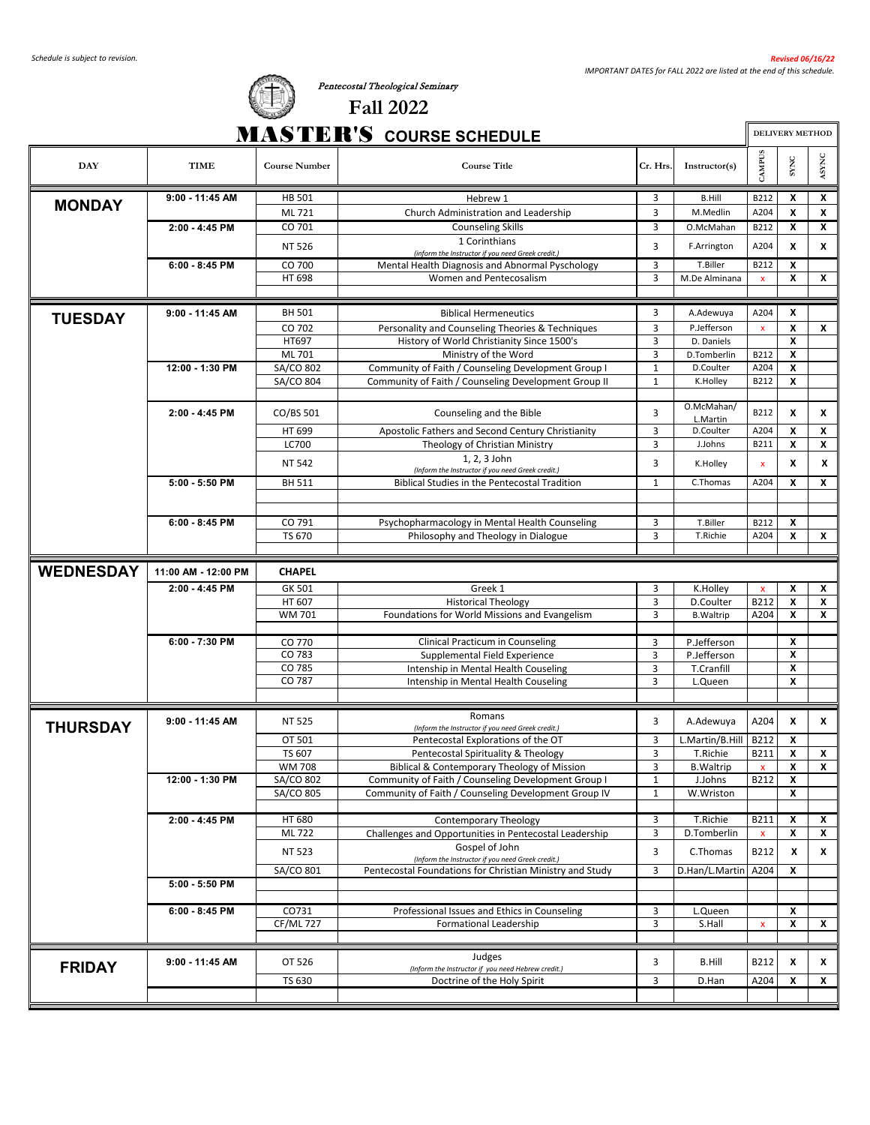

#### *Schedule is subject to revision. Revised 06/16/22 IMPORTANT DATES for FALL 2022 are listed at the end of this schedule.*

| <b>CONTRACTOR</b> | <b>Fall 2022</b>                |                        |
|-------------------|---------------------------------|------------------------|
|                   | <b>MASTER'S COURSE SCHEDULE</b> | <b>DELIVERY METHOD</b> |

Pentecostal Theological Seminary

| <b>DAY</b>       | TIME                | <b>Course Number</b>   | <b>Course Title</b>                                                                                         | Cr. Hrs                      | Instructor(s)             | CAMPUS             | SYNC   | ASYNC                     |
|------------------|---------------------|------------------------|-------------------------------------------------------------------------------------------------------------|------------------------------|---------------------------|--------------------|--------|---------------------------|
|                  | 9:00 - 11:45 AM     | <b>HB 501</b>          | Hebrew 1                                                                                                    | 3                            | <b>B.Hill</b>             | B212               | X      | x                         |
| <b>MONDAY</b>    |                     | ML 721                 | Church Administration and Leadership                                                                        | 3                            | M.Medlin                  | A204               | X      | X                         |
|                  | 2:00 - 4:45 PM      | CO 701                 | <b>Counseling Skills</b>                                                                                    | 3                            | O.McMahan                 | B212               | x      | x                         |
|                  |                     | NT 526                 | 1 Corinthians                                                                                               | 3                            | F.Arrington               | A204               | X      | X                         |
|                  | $6:00 - 8:45$ PM    | CO 700                 | (inform the Instructor if you need Greek credit.)<br>Mental Health Diagnosis and Abnormal Pyschology        | 3                            | T.Biller                  | B212               | X      |                           |
|                  |                     | HT 698                 | Women and Pentecosalism                                                                                     | 3                            | M.De Alminana             | $\pmb{\mathsf{x}}$ | X      | x                         |
|                  |                     |                        |                                                                                                             |                              |                           |                    |        |                           |
|                  | $9:00 - 11:45$ AM   | <b>BH 501</b>          | <b>Biblical Hermeneutics</b>                                                                                | 3                            | A.Adewuya                 | A204               | X      |                           |
| <b>TUESDAY</b>   |                     | CO 702                 | Personality and Counseling Theories & Techniques                                                            | 3                            | P.Jefferson               | $\pmb{\mathsf{x}}$ | X      | X                         |
|                  |                     | HT697                  | History of World Christianity Since 1500's                                                                  | 3                            | D. Daniels                |                    | X      |                           |
|                  |                     | ML 701                 | Ministry of the Word                                                                                        | 3                            | D.Tomberlin               | B212               | X      |                           |
|                  | 12:00 - 1:30 PM     | SA/CO 802              | Community of Faith / Counseling Development Group I                                                         | 1                            | D.Coulter                 | A204               | x      |                           |
|                  |                     | SA/CO 804              | Community of Faith / Counseling Development Group II                                                        | $\mathbf{1}$                 | K.Holley                  | B212               | X      |                           |
|                  |                     |                        |                                                                                                             |                              |                           |                    |        |                           |
|                  | 2:00 - 4:45 PM      | CO/BS 501              | Counseling and the Bible                                                                                    | 3                            | O.McMahan/<br>L.Martin    | B212               | X      | X                         |
|                  |                     | HT 699                 | Apostolic Fathers and Second Century Christianity                                                           | 3                            | D.Coulter                 | A204               | X      | x                         |
|                  |                     | LC700                  | Theology of Christian Ministry                                                                              | 3                            | J.Johns                   | B211               | X      | X                         |
|                  |                     | NT 542                 | 1, 2, 3 John                                                                                                | 3                            | K.Holley                  | x                  | x      | x                         |
|                  | $5:00 - 5:50$ PM    | <b>BH 511</b>          | (Inform the Instructor if you need Greek credit.)<br><b>Biblical Studies in the Pentecostal Tradition</b>   | $\mathbf{1}$                 | C.Thomas                  | A204               | X      | x                         |
|                  |                     |                        |                                                                                                             |                              |                           |                    |        |                           |
|                  |                     |                        |                                                                                                             |                              |                           |                    |        |                           |
|                  | $6:00 - 8:45$ PM    | CO 791                 | Psychopharmacology in Mental Health Counseling                                                              | 3                            | T.Biller                  | B212               | x      |                           |
|                  |                     | TS 670                 | Philosophy and Theology in Dialogue                                                                         | 3                            | T.Richie                  | A204               | X      | X                         |
|                  |                     |                        |                                                                                                             |                              |                           |                    |        |                           |
| <b>WEDNESDAY</b> | 11:00 AM - 12:00 PM | <b>CHAPEL</b>          |                                                                                                             |                              |                           |                    |        |                           |
|                  | 2:00 - 4:45 PM      | GK 501                 | Greek 1                                                                                                     | 3                            | K.Holley                  | $\mathbf{x}$       | X      | x                         |
|                  |                     | HT 607                 | <b>Historical Theology</b>                                                                                  | 3                            | D.Coulter                 | B212               | X      | X                         |
|                  |                     | <b>WM701</b>           | Foundations for World Missions and Evangelism                                                               | 3                            | <b>B.Waltrip</b>          | A204               | x      | x                         |
|                  |                     |                        |                                                                                                             |                              |                           |                    |        |                           |
|                  | 6:00 - 7:30 PM      | CO 770                 | Clinical Practicum in Counseling                                                                            | 3                            | P.Jefferson               |                    | x      |                           |
|                  |                     | CO 783<br>CO 785       | Supplemental Field Experience                                                                               | 3<br>3                       | P.Jefferson<br>T.Cranfill |                    | X<br>x |                           |
|                  |                     | CO 787                 | Intenship in Mental Health Couseling<br>Intenship in Mental Health Couseling                                | 3                            | L.Queen                   |                    | X      |                           |
|                  |                     |                        |                                                                                                             |                              |                           |                    |        |                           |
|                  |                     |                        | Romans                                                                                                      |                              |                           |                    |        |                           |
| <b>THURSDAY</b>  | $9:00 - 11:45$ AM   | <b>NT 525</b>          | (Inform the Instructor if you need Greek credit.)                                                           | 3                            | A.Adewuya                 | A204               | X      | x                         |
|                  |                     | OT 501                 | Pentecostal Explorations of the OT                                                                          | 3                            | L.Martin/B.Hill           | B212               | X      |                           |
|                  |                     | TS 607                 | Pentecostal Spirituality & Theology                                                                         | 3                            | T.Richie                  | B211               | X      | X                         |
|                  |                     | <b>WM 708</b>          | Biblical & Contemporary Theology of Mission                                                                 | 3                            | <b>B.Waltrip</b>          | $\mathbf{x}$       | X      | X                         |
|                  | 12:00 - 1:30 PM     | SA/CO 802<br>SA/CO 805 | Community of Faith / Counseling Development Group I<br>Community of Faith / Counseling Development Group IV | $\mathbf{1}$<br>$\mathbf{1}$ | J.Johns                   | <b>B212</b>        | X<br>X |                           |
|                  |                     |                        |                                                                                                             |                              | W.Wriston                 |                    |        |                           |
|                  | 2:00 - 4:45 PM      | HT 680                 | <b>Contemporary Theology</b>                                                                                | 3                            | T.Richie                  | B211               | х      | x                         |
|                  |                     | ML 722                 | Challenges and Opportunities in Pentecostal Leadership                                                      | 3                            | D.Tomberlin               | x                  | X      | $\boldsymbol{\mathsf{x}}$ |
|                  |                     | NT 523                 | Gospel of John                                                                                              | 3                            | C.Thomas                  | B212               | x      | x                         |
|                  |                     |                        | (Inform the Instructor if you need Greek credit.)                                                           |                              |                           |                    |        |                           |
|                  | 5:00 - 5:50 PM      | SA/CO 801              | Pentecostal Foundations for Christian Ministry and Study                                                    | 3                            | D.Han/L.Martin            | A204               | X      |                           |
|                  |                     |                        |                                                                                                             |                              |                           |                    |        |                           |
|                  | $6:00 - 8:45$ PM    | CO731                  | Professional Issues and Ethics in Counseling                                                                | 3                            | L.Queen                   |                    | X      |                           |
|                  |                     | <b>CF/ML727</b>        | <b>Formational Leadership</b>                                                                               | 3                            | S.Hall                    | $\pmb{\mathsf{x}}$ | X      | X                         |
|                  |                     |                        |                                                                                                             |                              |                           |                    |        |                           |
|                  | 9:00 - 11:45 AM     | OT 526                 | Judges                                                                                                      | 3                            | <b>B.Hill</b>             | B212               | x      | x                         |
| <b>FRIDAY</b>    |                     |                        | (Inform the Instructor if you need Hebrew credit.)                                                          |                              |                           |                    |        |                           |
|                  |                     | TS 630                 | Doctrine of the Holy Spirit                                                                                 | 3                            | D.Han                     | A204               | X      | x                         |
|                  |                     |                        |                                                                                                             |                              |                           |                    |        |                           |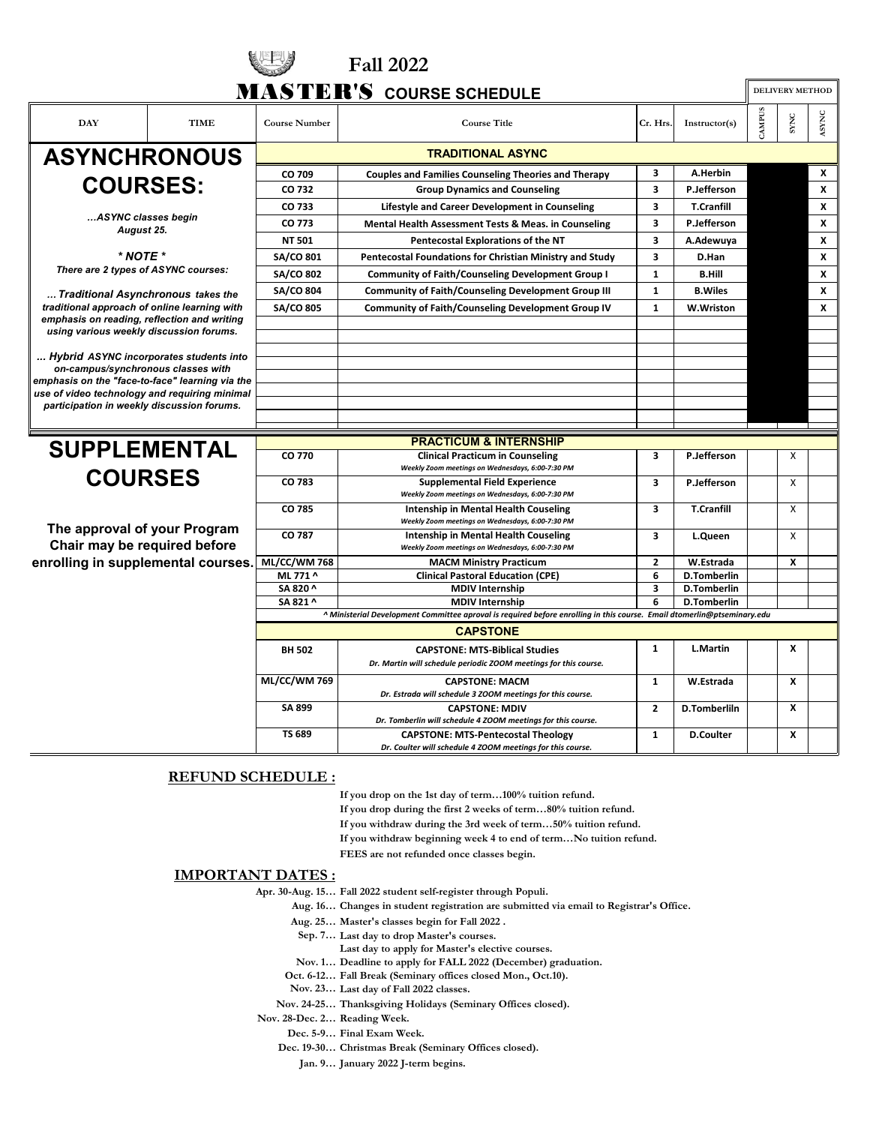|                                                                                             |                                                 |                      | <b>Fall 2022</b>                                                                                                                                  |                         |                    |        |                        |       |
|---------------------------------------------------------------------------------------------|-------------------------------------------------|----------------------|---------------------------------------------------------------------------------------------------------------------------------------------------|-------------------------|--------------------|--------|------------------------|-------|
|                                                                                             |                                                 |                      | <b>MASTER'S COURSE SCHEDULE</b>                                                                                                                   |                         |                    |        | <b>DELIVERY METHOD</b> |       |
| <b>DAY</b>                                                                                  | <b>TIME</b>                                     | <b>Course Number</b> | <b>Course Title</b>                                                                                                                               | Cr. Hrs.                | Instructor(s)      | CAMPUS | SYNC                   | ASYNC |
|                                                                                             | <b>ASYNCHRONOUS</b><br><b>TRADITIONAL ASYNC</b> |                      |                                                                                                                                                   |                         |                    |        |                        |       |
|                                                                                             |                                                 | CO 709               | <b>Couples and Families Counseling Theories and Therapy</b>                                                                                       | 3                       | A.Herbin           |        |                        | X     |
| <b>COURSES:</b>                                                                             |                                                 | CO 732               | <b>Group Dynamics and Counseling</b>                                                                                                              | 3                       | P.Jefferson        |        |                        | X     |
|                                                                                             |                                                 | CO 733               | Lifestyle and Career Development in Counseling                                                                                                    | 3                       | <b>T.Cranfill</b>  |        |                        | X     |
| ASYNC classes begin                                                                         |                                                 | CO 773               | Mental Health Assessment Tests & Meas. in Counseling                                                                                              | 3                       | P.Jefferson        |        |                        | x     |
| August 25.                                                                                  |                                                 | <b>NT 501</b>        | Pentecostal Explorations of the NT                                                                                                                | 3                       | A.Adewuya          |        |                        | x     |
| $*$ NOTE $*$                                                                                |                                                 | <b>SA/CO 801</b>     | Pentecostal Foundations for Christian Ministry and Study                                                                                          | 3                       | D.Han              |        |                        | X     |
| There are 2 types of ASYNC courses:                                                         |                                                 | <b>SA/CO 802</b>     | <b>Community of Faith/Counseling Development Group I</b>                                                                                          | $\mathbf{1}$            | <b>B.Hill</b>      |        |                        | X     |
|                                                                                             |                                                 | <b>SA/CO 804</b>     | <b>Community of Faith/Counseling Development Group III</b>                                                                                        | $\mathbf{1}$            | <b>B.Wiles</b>     |        |                        | X     |
| Traditional Asynchronous takes the<br>traditional approach of online learning with          |                                                 | <b>SA/CO 805</b>     | <b>Community of Faith/Counseling Development Group IV</b>                                                                                         | 1                       | W.Wriston          |        |                        | X     |
| emphasis on reading, reflection and writing                                                 |                                                 |                      |                                                                                                                                                   |                         |                    |        |                        |       |
| using various weekly discussion forums.                                                     |                                                 |                      |                                                                                                                                                   |                         |                    |        |                        |       |
| Hybrid ASYNC incorporates students into                                                     |                                                 |                      |                                                                                                                                                   |                         |                    |        |                        |       |
| on-campus/synchronous classes with                                                          |                                                 |                      |                                                                                                                                                   |                         |                    |        |                        |       |
| emphasis on the "face-to-face" learning via the                                             |                                                 |                      |                                                                                                                                                   |                         |                    |        |                        |       |
| use of video technology and requiring minimal<br>participation in weekly discussion forums. |                                                 |                      |                                                                                                                                                   |                         |                    |        |                        |       |
|                                                                                             |                                                 |                      |                                                                                                                                                   |                         |                    |        |                        |       |
|                                                                                             |                                                 |                      | <b>PRACTICUM &amp; INTERNSHIP</b>                                                                                                                 |                         |                    |        |                        |       |
| <b>SUPPLEMENTAL</b>                                                                         |                                                 | CO 770               | <b>Clinical Practicum in Counseling</b>                                                                                                           | 3                       | P.Jefferson        |        | X                      |       |
|                                                                                             |                                                 |                      | Weekly Zoom meetings on Wednesdays, 6:00-7:30 PM                                                                                                  |                         |                    |        |                        |       |
| <b>COURSES</b>                                                                              |                                                 | CO 783               | <b>Supplemental Field Experience</b><br>Weekly Zoom meetings on Wednesdays, 6:00-7:30 PM                                                          | 3                       | P.Jefferson        |        | X                      |       |
|                                                                                             |                                                 | CO 785               | Intenship in Mental Health Couseling<br>Weekly Zoom meetings on Wednesdays, 6:00-7:30 PM                                                          | 3                       | <b>T.Cranfill</b>  |        | X                      |       |
| The approval of your Program<br>Chair may be required before                                |                                                 | CO 787               | Intenship in Mental Health Couseling<br>Weekly Zoom meetings on Wednesdays, 6:00-7:30 PM                                                          | 3                       | L.Queen            |        | X                      |       |
| enrolling in supplemental courses.                                                          |                                                 | ML/CC/WM768          | <b>MACM Ministry Practicum</b>                                                                                                                    | $\mathbf{2}$            | W.Estrada          |        | x                      |       |
|                                                                                             |                                                 | ML 771 ^             | <b>Clinical Pastoral Education (CPE)</b>                                                                                                          | 6                       | <b>D.Tomberlin</b> |        |                        |       |
|                                                                                             |                                                 | SA 820 ^             | <b>MDIV Internship</b>                                                                                                                            | $\overline{\mathbf{3}}$ | <b>D.Tomberlin</b> |        |                        |       |
|                                                                                             |                                                 | SA 821 ^             | <b>MDIV Internship</b><br>A Ministerial Development Committee aproval is required before enrolling in this course. Email dtomerlin@ptseminary.edu | 6                       | <b>D.Tomberlin</b> |        |                        |       |
|                                                                                             |                                                 |                      | <b>CAPSTONE</b>                                                                                                                                   |                         |                    |        |                        |       |
|                                                                                             |                                                 |                      |                                                                                                                                                   |                         |                    |        |                        |       |
|                                                                                             |                                                 | <b>BH 502</b>        | <b>CAPSTONE: MTS-Biblical Studies</b><br>Dr. Martin will schedule periodic ZOOM meetings for this course.                                         | $\mathbf{1}$            | L.Martin           |        | X                      |       |
|                                                                                             |                                                 | <b>ML/CC/WM769</b>   | <b>CAPSTONE: MACM</b><br>Dr. Estrada will schedule 3 ZOOM meetings for this course.                                                               | $\mathbf{1}$            | W.Estrada          |        | X                      |       |
|                                                                                             |                                                 | SA 899               | <b>CAPSTONE: MDIV</b><br>Dr. Tomberlin will schedule 4 ZOOM meetings for this course.                                                             | $\overline{2}$          | D.Tomberliln       |        | x                      |       |
|                                                                                             |                                                 | <b>TS 689</b>        | <b>CAPSTONE: MTS-Pentecostal Theology</b><br>Dr. Coulter will schedule 4 ZOOM meetings for this course.                                           | $\mathbf{1}$            | <b>D.Coulter</b>   |        | X                      |       |

#### **REFUND SCHEDULE :**

**If you drop on the 1st day of term…100% tuition refund.**

**If you drop during the first 2 weeks of term…80% tuition refund.**

**If you withdraw during the 3rd week of term…50% tuition refund.**

**If you withdraw beginning week 4 to end of term…No tuition refund.**

**FEES are not refunded once classes begin.**

#### **IMPORTANT DATES :**

**Apr. 30-Aug. 15… Fall 2022 student self-register through Populi.**

**Aug. 16… Changes in student registration are submitted via email to Registrar's Office.**

**Aug. 25… Master's classes begin for Fall 2022 .**

- **Sep. 7… Last day to drop Master's courses.**
- **Last day to apply for Master's elective courses.**
- **Nov. 1… Deadline to apply for FALL 2022 (December) graduation.**
- **Oct. 6-12… Fall Break (Seminary offices closed Mon., Oct.10).**
- **Last day of Fall 2022 classes. Nov. 23…**
- **Nov. 24-25… Thanksgiving Holidays (Seminary Offices closed).**

**Reading Week. Nov. 28-Dec. 2…**

**Dec. 5-9… Final Exam Week.**

**Dec. 19-30… Christmas Break (Seminary Offices closed).**

**Jan. 9… January 2022 J-term begins.**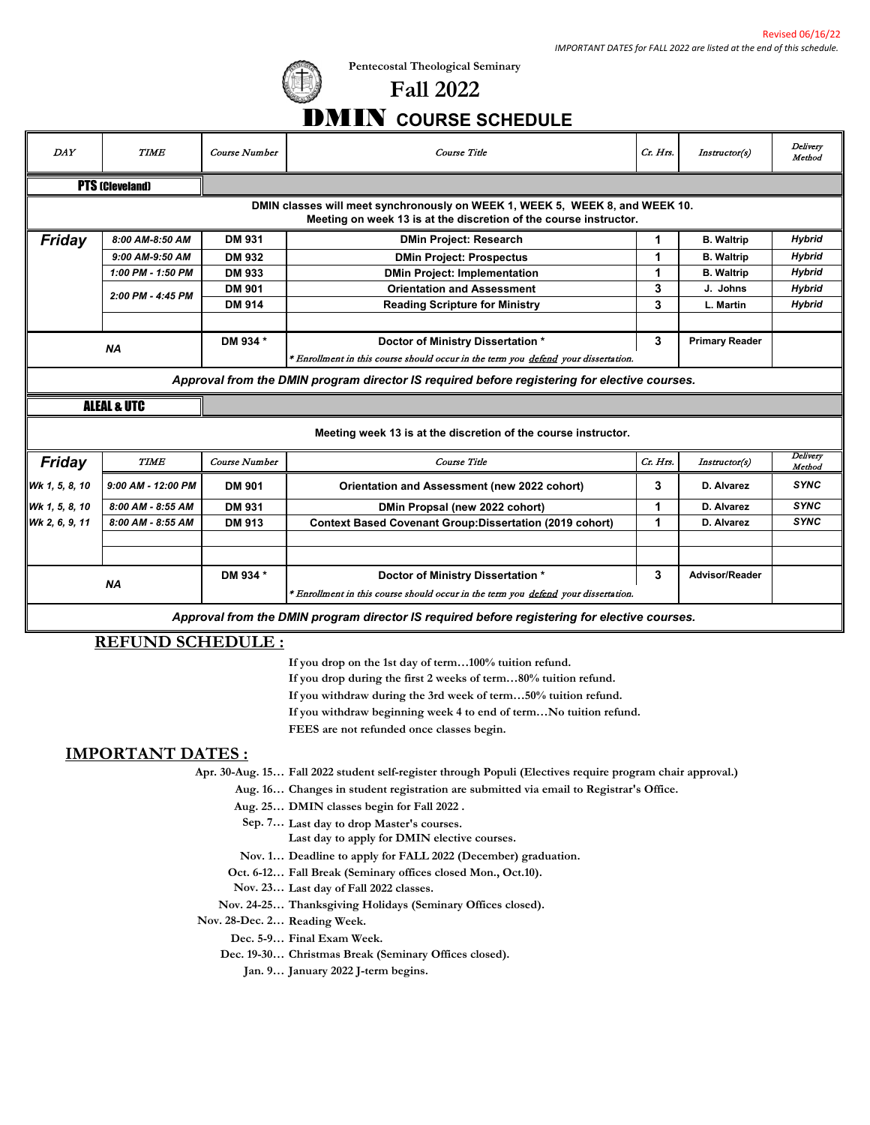

**Pentecostal Theological Seminary**

## **Fall 2022** DMIN **COURSE SCHEDULE**

| <b>DAY</b>             | <b>TIME</b>                                                                                                                                       | Course Number                                                                                | Course Title                                                                                                            | Ct. Hts. | Instructor(s)         | Delivery<br>Method |  |  |  |
|------------------------|---------------------------------------------------------------------------------------------------------------------------------------------------|----------------------------------------------------------------------------------------------|-------------------------------------------------------------------------------------------------------------------------|----------|-----------------------|--------------------|--|--|--|
| <b>PTS (Cleveland)</b> |                                                                                                                                                   |                                                                                              |                                                                                                                         |          |                       |                    |  |  |  |
|                        | DMIN classes will meet synchronously on WEEK 1, WEEK 5, WEEK 8, and WEEK 10.<br>Meeting on week 13 is at the discretion of the course instructor. |                                                                                              |                                                                                                                         |          |                       |                    |  |  |  |
| Friday                 | 8:00 AM-8:50 AM                                                                                                                                   | DM 931                                                                                       | <b>DMin Project: Research</b>                                                                                           | 1.       | <b>B.</b> Waltrip     | <b>Hybrid</b>      |  |  |  |
|                        | 9:00 AM-9:50 AM                                                                                                                                   | DM 932                                                                                       | <b>DMin Project: Prospectus</b>                                                                                         | 1        | <b>B.</b> Waltrip     | <b>Hybrid</b>      |  |  |  |
|                        | 1:00 PM - 1:50 PM                                                                                                                                 | DM 933                                                                                       | <b>DMin Project: Implementation</b>                                                                                     | 1        | <b>B.</b> Waltrip     | <b>Hybrid</b>      |  |  |  |
|                        | 2:00 PM - 4:45 PM                                                                                                                                 | DM 901                                                                                       | <b>Orientation and Assessment</b>                                                                                       | 3        | J. Johns              | <b>Hybrid</b>      |  |  |  |
|                        |                                                                                                                                                   | <b>DM 914</b>                                                                                | <b>Reading Scripture for Ministry</b>                                                                                   | 3        | L. Martin             | <b>Hybrid</b>      |  |  |  |
|                        |                                                                                                                                                   |                                                                                              |                                                                                                                         |          |                       |                    |  |  |  |
|                        |                                                                                                                                                   | DM 934 *                                                                                     | Doctor of Ministry Dissertation *                                                                                       | 3        | <b>Primary Reader</b> |                    |  |  |  |
|                        | <b>NA</b>                                                                                                                                         |                                                                                              | * Enrollment in this course should occur in the term you defend your dissertation.                                      |          |                       |                    |  |  |  |
|                        |                                                                                                                                                   |                                                                                              | Approval from the DMIN program director IS required before registering for elective courses.                            |          |                       |                    |  |  |  |
|                        | <b>ALEAL &amp; UTC</b>                                                                                                                            |                                                                                              |                                                                                                                         |          |                       |                    |  |  |  |
|                        |                                                                                                                                                   |                                                                                              | Meeting week 13 is at the discretion of the course instructor.                                                          |          |                       |                    |  |  |  |
| <b>Friday</b>          | <b>TIME</b>                                                                                                                                       | Course Number                                                                                | Course Title                                                                                                            | Cr. Hrs. | Instructor(s)         | Delivery<br>Method |  |  |  |
| Wk 1, 5, 8, 10         | 9:00 AM - 12:00 PM                                                                                                                                | <b>DM 901</b>                                                                                | Orientation and Assessment (new 2022 cohort)                                                                            | 3        | D. Alvarez            | <b>SYNC</b>        |  |  |  |
| Wk 1, 5, 8, 10         | 8:00 AM - 8:55 AM                                                                                                                                 | DM 931                                                                                       | DMin Propsal (new 2022 cohort)                                                                                          | 1        | D. Alvarez            | <b>SYNC</b>        |  |  |  |
| Wk 2, 6, 9, 11         | 8:00 AM - 8:55 AM                                                                                                                                 | DM 913                                                                                       | <b>Context Based Covenant Group: Dissertation (2019 cohort)</b>                                                         | 1        | D. Alvarez            | <b>SYNC</b>        |  |  |  |
|                        |                                                                                                                                                   |                                                                                              |                                                                                                                         |          |                       |                    |  |  |  |
|                        |                                                                                                                                                   |                                                                                              |                                                                                                                         |          |                       |                    |  |  |  |
|                        | <b>NA</b>                                                                                                                                         | DM 934 *                                                                                     | Doctor of Ministry Dissertation *<br>* Enrollment in this course should occur in the term you defend your dissertation. | 3        | <b>Advisor/Reader</b> |                    |  |  |  |
|                        |                                                                                                                                                   | Approval from the DMIN program director IS required before registering for elective courses. |                                                                                                                         |          |                       |                    |  |  |  |

### **REFUND SCHEDULE :**

**If you drop on the 1st day of term…100% tuition refund.**

**If you drop during the first 2 weeks of term…80% tuition refund.**

**If you withdraw during the 3rd week of term…50% tuition refund.**

**If you withdraw beginning week 4 to end of term…No tuition refund.**

**FEES are not refunded once classes begin.**

#### **IMPORTANT DATES :**

**Apr. 30-Aug. 15… Fall 2022 student self-register through Populi (Electives require program chair approval.)**

**Aug. 16… Changes in student registration are submitted via email to Registrar's Office.**

**Aug. 25… DMIN classes begin for Fall 2022 .**

- **Sep. 7… Last day to drop Master's courses.**
	- **Last day to apply for DMIN elective courses.**

**Nov. 1… Deadline to apply for FALL 2022 (December) graduation.**

**Oct. 6-12… Fall Break (Seminary offices closed Mon., Oct.10).**

**Last day of Fall 2022 classes. Nov. 23…**

**Nov. 24-25… Thanksgiving Holidays (Seminary Offices closed).**

**Reading Week. Nov. 28-Dec. 2…**

**Dec. 5-9… Final Exam Week.**

**Dec. 19-30… Christmas Break (Seminary Offices closed).**

**Jan. 9… January 2022 J-term begins.**